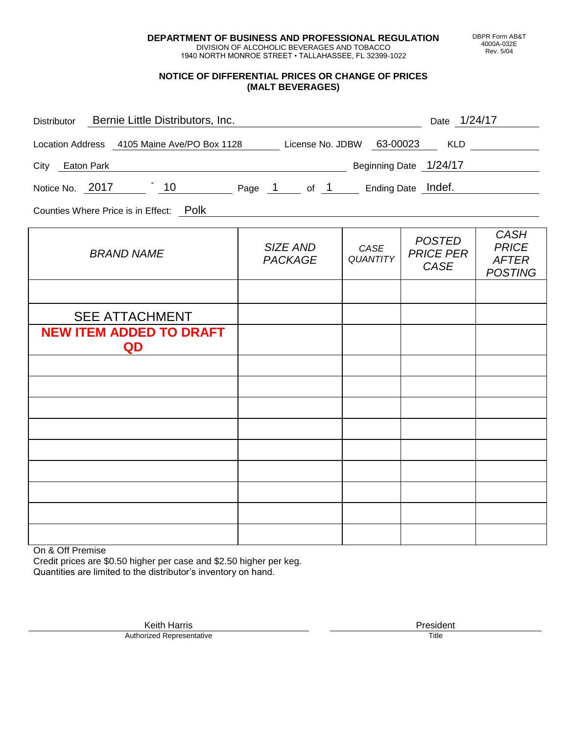**DEPARTMENT OF BUSINESS AND PROFESSIONAL REGULATION** DIVISION OF ALCOHOLIC BEVERAGES AND TOBACCO

1940 NORTH MONROE STREET • TALLAHASSEE, FL 32399-1022

## **NOTICE OF DIFFERENTIAL PRICES OR CHANGE OF PRICES (MALT BEVERAGES)**

| Distributor Bernie Little Distributors, Inc.                                 | Date 1/24/17               |                         |                                           |                                                               |
|------------------------------------------------------------------------------|----------------------------|-------------------------|-------------------------------------------|---------------------------------------------------------------|
| Location Address  4105 Maine Ave/PO Box 1128 License No. JDBW  63-00023  KLD |                            |                         |                                           |                                                               |
| City Eaton Park                                                              |                            |                         |                                           |                                                               |
| Notice No. 2017 10 Page 1 of 1 Ending Date Indef.                            |                            |                         |                                           |                                                               |
| Counties Where Price is in Effect: Polk                                      |                            |                         |                                           |                                                               |
| <b>BRAND NAME</b>                                                            | SIZE AND<br><b>PACKAGE</b> | CASE<br><b>QUANTITY</b> | <b>POSTED</b><br><b>PRICE PER</b><br>CASE | <b>CASH</b><br><b>PRICE</b><br><b>AFTER</b><br><b>POSTING</b> |
|                                                                              |                            |                         |                                           |                                                               |
| <b>SEE ATTACHMENT</b>                                                        |                            |                         |                                           |                                                               |
| <b>NEW ITEM ADDED TO DRAFT</b><br>QD                                         |                            |                         |                                           |                                                               |
|                                                                              |                            |                         |                                           |                                                               |
|                                                                              |                            |                         |                                           |                                                               |
|                                                                              |                            |                         |                                           |                                                               |
|                                                                              |                            |                         |                                           |                                                               |
|                                                                              |                            |                         |                                           |                                                               |
|                                                                              |                            |                         |                                           |                                                               |
|                                                                              |                            |                         |                                           |                                                               |
|                                                                              |                            |                         |                                           |                                                               |
|                                                                              |                            |                         |                                           |                                                               |

On & Off Premise

Credit prices are \$0.50 higher per case and \$2.50 higher per keg. Quantities are limited to the distributor's inventory on hand.

> Keith Harris **President** Authorized Representative Title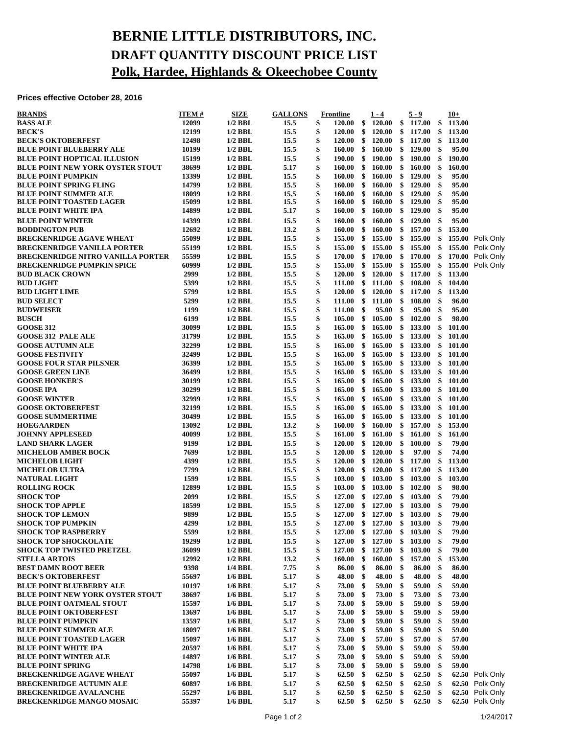## **BERNIE LITTLE DISTRIBUTORS, INC. DRAFT QUANTITY DISCOUNT PRICE LIST Polk, Hardee, Highlands & Okeechobee County**

**Prices effective October 28, 2016**

| <b>BRANDS</b>                            | <b>ITEM#</b> | SIZE                   | <b>GALLONS</b> |          | Frontline     |               | $1 - 4$                    |               | $5 - 9$          | $10+$                |                  |
|------------------------------------------|--------------|------------------------|----------------|----------|---------------|---------------|----------------------------|---------------|------------------|----------------------|------------------|
| <b>BASS ALE</b>                          | 12099        | $1/2$ BBL              | 15.5           | \$       | 120.00        | \$            | <b>120.00</b>              | \$            | 117.00           | \$<br>113.00         |                  |
| <b>BECK'S</b>                            | 12199        | $1/2$ BBL              | 15.5           | \$       | 120.00        | \$            | <b>120.00</b>              | \$            | 117.00           | \$<br>113.00         |                  |
| <b>BECK'S OKTOBERFEST</b>                | 12498        | $1/2$ BBL              | 15.5           | \$       | 120.00        | \$            | <b>120.00</b>              | \$            | 117.00           | \$<br>113.00         |                  |
| <b>BLUE POINT BLUEBERRY ALE</b>          | 10199        | $1/2$ BBL              | 15.5           | \$       | 160.00        | -\$           | 160.00                     | \$            | 129.00           | \$<br>95.00          |                  |
| <b>BLUE POINT HOPTICAL ILLUSION</b>      | 15199        | $1/2$ BBL              | 15.5           | \$       | 190.00        | -\$           | 190.00                     | \$            | 190.00           | \$<br>190.00         |                  |
| <b>BLUE POINT NEW YORK OYSTER STOUT</b>  | 38699        | $1/2$ BBL              | 5.17           | \$       | 160.00        | \$            | 160.00                     | \$            | 160.00           | \$<br>160.00         |                  |
| <b>BLUE POINT PUMPKIN</b>                | 13399        | $1/2$ BBL              | 15.5           | \$       | 160.00        | \$            | 160.00                     | \$            | 129.00           | \$<br>95.00          |                  |
| <b>BLUE POINT SPRING FLING</b>           | 14799        | $1/2$ BBL              | 15.5           | \$       | 160.00        | \$            | 160.00                     | \$            | 129.00           | \$<br>95.00          |                  |
| <b>BLUE POINT SUMMER ALE</b>             | 18099        | $1/2$ BBL              | 15.5           | \$       | 160.00        | \$            | 160.00                     | \$            | 129.00           | \$<br>95.00          |                  |
| <b>BLUE POINT TOASTED LAGER</b>          | 15099        | $1/2$ BBL              | 15.5           | \$       | 160.00        | \$            | 160.00                     | \$            | 129.00           | \$<br>95.00          |                  |
| <b>BLUE POINT WHITE IPA</b>              | 14899        | $1/2$ BBL              | 5.17           | \$       | 160.00        | \$            | <b>160.00</b>              | \$            | 129.00           | \$<br>95.00          |                  |
| <b>BLUE POINT WINTER</b>                 | 14399        | $1/2$ BBL              | 15.5           | \$       | 160.00        | \$            | 160.00                     | \$            | 129.00           | \$<br>95.00          |                  |
| <b>BODDINGTON PUB</b>                    | 12692        | $1/2$ BBL              | 13.2           | \$       | 160.00        | \$            | 160.00                     | \$            | 157.00           | \$<br>153.00         |                  |
| <b>BRECKENRIDGE AGAVE WHEAT</b>          | 55099        | $1/2$ BBL              | 15.5           | \$       | 155.00        | \$            | 155.00                     | \$            | 155.00           | \$                   | 155.00 Polk Only |
| <b>BRECKENRIDGE VANILLA PORTER</b>       | 55199        | $1/2$ BBL              | 15.5           | \$       | <b>155.00</b> | \$            | 155.00                     | \$            | 155.00           | \$                   | 155.00 Polk Only |
| <b>BRECKENRIDGE NITRO VANILLA PORTER</b> | 55599        | $1/2$ BBL              | 15.5           | \$       | 170.00        | \$            | 170.00                     | $\mathbf{\$}$ | 170.00           | \$                   | 170.00 Polk Only |
| <b>BRECKENRIDGE PUMPKIN SPICE</b>        | 60999        | $1/2$ BBL              | 15.5           | \$       | 155.00        | \$            | 155.00                     | \$            | 155.00           | \$                   | 155.00 Polk Only |
| <b>BUD BLACK CROWN</b>                   | 2999         | $1/2$ BBL              | 15.5           | \$       | 120.00        | \$            | <b>120.00</b>              | \$            | 117.00           | \$<br>113.00         |                  |
| <b>BUD LIGHT</b>                         | 5399         | $1/2$ BBL              | 15.5           | \$       | 111.00        | \$            | 111.00                     | \$            | 108.00           | \$<br>104.00         |                  |
| <b>BUD LIGHT LIME</b>                    | 5799         | $1/2$ BBL              | 15.5           | \$       | 120.00        | \$            | 120.00                     | \$            | 117.00           | \$<br>113.00         |                  |
| <b>BUD SELECT</b>                        | 5299         | $1/2$ BBL              | 15.5           | \$       | 111.00        | $\mathbf{\$}$ | 111.00                     | \$            | 108.00           | \$<br>96.00          |                  |
| <b>BUDWEISER</b>                         | 1199         | $1/2$ BBL              | 15.5           | \$       | 111.00        | \$            | 95.00                      | \$            | 95.00            | \$<br>95.00          |                  |
|                                          | 6199         |                        |                | \$       |               |               | 105.00                     |               |                  |                      |                  |
| <b>BUSCH</b>                             |              | $1/2$ BBL              | 15.5           |          | 105.00        | \$            |                            | \$            | 102.00           | \$<br>98.00          |                  |
| <b>GOOSE 312</b>                         | 30099        | $1/2$ BBL              | 15.5           | \$       | 165.00        | -\$           | 165.00                     | \$            | 133.00           | \$<br>101.00         |                  |
| <b>GOOSE 312 PALE ALE</b>                | 31799        | $1/2$ BBL              | 15.5           | \$       | 165.00        | -\$           | 165.00                     | \$            | 133.00           | \$<br>101.00         |                  |
| <b>GOOSE AUTUMN ALE</b>                  | 32299        | $1/2$ BBL              | 15.5           | \$       | 165.00        | \$            | 165.00                     | \$            | 133.00           | \$<br>101.00         |                  |
| <b>GOOSE FESTIVITY</b>                   | 32499        | $1/2$ BBL              | 15.5           | \$       | 165.00        | \$            | 165.00                     | \$            | 133.00           | \$<br>101.00         |                  |
| <b>GOOSE FOUR STAR PILSNER</b>           | 36399        | $1/2$ BBL              | 15.5           | \$       | 165.00        | \$            | 165.00                     | \$            | 133.00           | \$<br>101.00         |                  |
| <b>GOOSE GREEN LINE</b>                  | 36499        | $1/2$ BBL              | 15.5           | \$       | 165.00        | \$            | 165.00                     | \$            | 133.00           | \$<br>101.00         |                  |
| <b>GOOSE HONKER'S</b>                    | 30199        | $1/2$ BBL              | 15.5           | \$       | 165.00        | \$            | 165.00                     | \$            | 133.00           | \$<br>101.00         |                  |
| <b>GOOSE IPA</b>                         | 30299        | $1/2$ BBL              | 15.5           | \$       | 165.00        | \$            | 165.00                     | \$            | 133.00           | \$<br>101.00         |                  |
| <b>GOOSE WINTER</b>                      | 32999        | $1/2$ BBL              | 15.5           | \$       | 165.00        | \$            | 165.00                     | \$            | 133.00           | \$<br>101.00         |                  |
| <b>GOOSE OKTOBERFEST</b>                 | 32199        | $1/2$ BBL              | 15.5           | \$       | 165.00        | \$            | 165.00                     | \$            | 133.00           | \$<br>101.00         |                  |
| <b>GOOSE SUMMERTIME</b>                  | 30499        | $1/2$ BBL              | 15.5           | \$       | 165.00        | -\$           | 165.00                     | \$            | 133.00           | \$<br>101.00         |                  |
| <b>HOEGAARDEN</b>                        | 13092        | $1/2$ BBL              | 13.2           |          | 160.00        | \$            | 160.00                     | \$            | 157.00           | \$<br>153.00         |                  |
| <b>JOHNNY APPLESEED</b>                  | 40099        | $1/2$ BBL              | 15.5           | \$       | 161.00        | \$            | 161.00                     | \$            | 161.00           | \$<br>161.00         |                  |
| <b>LAND SHARK LAGER</b>                  | 9199         | $1/2$ BBL              | 15.5           | \$       | 120.00        | \$            | <b>120.00</b>              | \$            | 100.00           | \$<br>79.00          |                  |
| <b>MICHELOB AMBER BOCK</b>               | 7699         | $1/2$ BBL              | 15.5           | \$       | 120.00        | \$            | <b>120.00</b>              | \$            | 97.00            | \$<br>74.00          |                  |
| <b>MICHELOB LIGHT</b>                    | 4399         | $1/2$ BBL              | 15.5           | \$       | <b>120.00</b> | \$            | 120.00                     | \$            | 117.00           | \$<br>113.00         |                  |
| <b>MICHELOB ULTRA</b>                    | 7799         | $1/2$ BBL              | 15.5           |          | 120.00        | \$            | <b>120.00</b>              | \$            | 117.00           | \$<br>113.00         |                  |
| <b>NATURAL LIGHT</b>                     | 1599         | $1/2$ BBL              | 15.5           | \$       | 103.00        | \$            | 103.00                     | \$            | 103.00           | \$<br>103.00         |                  |
| <b>ROLLING ROCK</b>                      | 12899        | $1/2$ BBL              | 15.5           | \$       | 103.00        | \$            | 103.00                     | \$            | 102.00           | \$<br>98.00          |                  |
| <b>SHOCK TOP</b>                         | 2099         | $1/2$ BBL              | 15.5           | \$       | 127.00        | \$            | 127.00                     | \$            | 103.00           | \$<br>79.00          |                  |
| <b>SHOCK TOP APPLE</b>                   | 18599        | $1/2$ BBL              | 15.5           | \$       | 127.00        |               | \$127.00                   | \$            | 103.00           | \$<br>79.00          |                  |
| <b>SHOCK TOP LEMON</b>                   | 9899         | $1/2$ BBL              | 15.5           |          |               |               | 127.00 \$ 127.00           | \$            | 103.00           | \$<br>79.00          |                  |
| <b>SHOCK TOP PUMPKIN</b>                 | 4299         | $1/2$ BBL              | 15.5           | \$       |               |               | 127.00 \$ 127.00 \$ 103.00 |               |                  | \$<br>79.00          |                  |
| <b>SHOCK TOP RASPBERRY</b>               | 5599         |                        |                |          |               |               |                            |               |                  |                      |                  |
|                                          | 19299        | $1/2$ BBL<br>$1/2$ BBL | 15.5           | \$<br>\$ | 127.00        | \$            | 127.00                     | \$            | 103.00<br>103.00 | \$<br>79.00<br>79.00 |                  |
| <b>SHOCK TOP SHOCKOLATE</b>              |              |                        | 15.5           |          | 127.00        | \$            | 127.00                     | \$            |                  | \$                   |                  |
| <b>SHOCK TOP TWISTED PRETZEL</b>         | 36099        | $1/2$ BBL              | 15.5           | \$       | 127.00        | \$            | 127.00                     | \$            | 103.00           | \$<br>79.00          |                  |
| <b>STELLA ARTOIS</b>                     | 12992        | $1/2$ BBL              | 13.2           | \$       | 160.00        | \$            | 160.00                     | \$            | 157.00           | \$<br>153.00         |                  |
| <b>BEST DAMN ROOT BEER</b>               | 9398         | 1/4 BBL                | 7.75           | \$       | 86.00         | -\$           | 86.00                      | \$            | 86.00            | \$<br>86.00          |                  |
| <b>BECK'S OKTOBERFEST</b>                | 55697        | $1/6$ BBL              | 5.17           | \$       | 48.00         | \$            | 48.00                      | \$            | 48.00            | \$<br>48.00          |                  |
| <b>BLUE POINT BLUEBERRY ALE</b>          | 10197        | $1/6$ BBL              | 5.17           | \$       | 73.00         | \$            | 59.00                      | \$            | 59.00            | \$<br>59.00          |                  |
| BLUE POINT NEW YORK OYSTER STOUT         | 38697        | $1/6$ BBL              | 5.17           | \$       | 73.00         | \$            | 73.00                      | \$            | 73.00            | \$<br>73.00          |                  |
| <b>BLUE POINT OATMEAL STOUT</b>          | 15597        | $1/6$ BBL              | 5.17           | \$       | 73.00         | \$            | 59.00                      | -\$           | 59.00            | \$<br>59.00          |                  |
| <b>BLUE POINT OKTOBERFEST</b>            | 13697        | 1/6 BBL                | 5.17           | \$       | 73.00         | \$            | 59.00                      | -\$           | 59.00            | \$<br>59.00          |                  |
| <b>BLUE POINT PUMPKIN</b>                | 13597        | $1/6$ BBL              | 5.17           | \$       | 73.00         | \$            | 59.00                      | \$            | 59.00            | \$<br>59.00          |                  |
| <b>BLUE POINT SUMMER ALE</b>             | 18097        | $1/6$ BBL              | 5.17           | \$       | 73.00         | \$            | 59.00                      | \$            | 59.00            | \$<br>59.00          |                  |
| <b>BLUE POINT TOASTED LAGER</b>          | 15097        | $1/6$ BBL              | 5.17           | \$       | 73.00         | \$            | 57.00                      | \$            | 57.00            | \$<br>57.00          |                  |
| <b>BLUE POINT WHITE IPA</b>              | 20597        | $1/6$ BBL              | 5.17           | \$       | 73.00         | \$            | 59.00                      | -\$           | 59.00            | \$<br>59.00          |                  |
| <b>BLUE POINT WINTER ALE</b>             | 14897        | 1/6 BBL                | 5.17           | \$       | 73.00         | \$            | 59.00                      | \$            | 59.00            | \$<br>59.00          |                  |
| <b>BLUE POINT SPRING</b>                 | 14798        | $1/6$ BBL              | 5.17           | \$       | 73.00         | \$            | 59.00                      | \$            | 59.00            | \$<br>59.00          |                  |
| <b>BRECKENRIDGE AGAVE WHEAT</b>          | 55097        | $1/6$ BBL              | 5.17           | \$       | 62.50         | \$            | 62.50                      | \$            | 62.50            | \$                   | 62.50 Polk Only  |
| <b>BRECKENRIDGE AUTUMN ALE</b>           | 60897        | $1/6$ BBL              | 5.17           | \$       | 62.50         | \$            | 62.50                      | -\$           | 62.50            | \$                   | 62.50 Polk Only  |
| <b>BRECKENRIDGE AVALANCHE</b>            | 55297        | $1/6$ BBL              | 5.17           | \$       | 62.50         | \$            | 62.50                      | \$            | 62.50            | \$                   | 62.50 Polk Only  |
| <b>BRECKENRIDGE MANGO MOSAIC</b>         | 55397        | $1/6$ BBL              | 5.17           | \$       | $62.50$ \$    |               | $62.50$ \$                 |               | $62.50$ \$       |                      | 62.50 Polk Only  |
|                                          |              |                        |                |          |               |               |                            |               |                  |                      |                  |